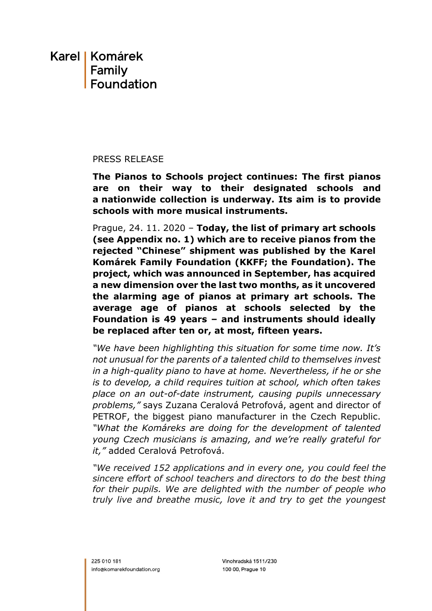# Karel I Komárek Family Foundation

### PRESS RELEASE

**The Pianos to Schools project continues: The first pianos are on their way to their designated schools and a nationwide collection is underway. Its aim is to provide schools with more musical instruments.**

Prague, 24. 11. 2020 – **Today, the list of primary art schools (see Appendix no. 1) which are to receive pianos from the rejected "Chinese" shipment was published by the Karel Komárek Family Foundation (KKFF; the Foundation). The project, which was announced in September, has acquired a new dimension over the last two months, as it uncovered the alarming age of pianos at primary art schools. The average age of pianos at schools selected by the Foundation is 49 years – and instruments should ideally be replaced after ten or, at most, fifteen years.**

*"We have been highlighting this situation for some time now. It's not unusual for the parents of a talented child to themselves invest in a high-quality piano to have at home. Nevertheless, if he or she is to develop, a child requires tuition at school, which often takes place on an out-of-date instrument, causing pupils unnecessary problems,"* says Zuzana Ceralová Petrofová, agent and director of PETROF, the biggest piano manufacturer in the Czech Republic. *"What the Komáreks are doing for the development of talented young Czech musicians is amazing, and we're really grateful for it,"* added Ceralová Petrofová.

*"We received 152 applications and in every one, you could feel the sincere effort of school teachers and directors to do the best thing for their pupils. We are delighted with the number of people who truly live and breathe music, love it and try to get the youngest*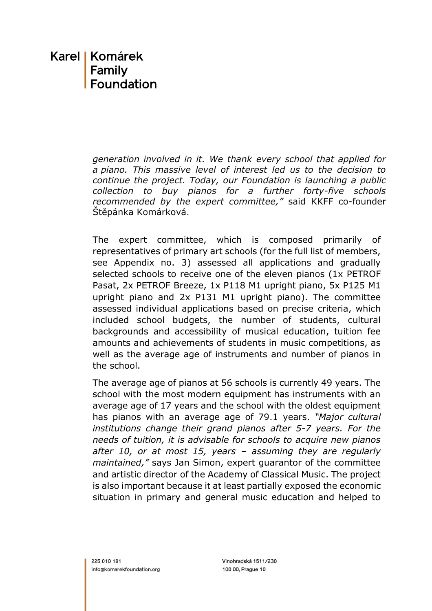# Karel | Komárek Family **Foundation**

*generation involved in it. We thank every school that applied for a piano. This massive level of interest led us to the decision to continue the project. Today, our Foundation is launching a public collection to buy pianos for a further forty-five schools recommended by the expert committee,"* said KKFF co-founder Štěpánka Komárková.

The expert committee, which is composed primarily of representatives of primary art schools (for the full list of members, see Appendix no. 3) assessed all applications and gradually selected schools to receive one of the eleven pianos (1x PETROF Pasat, 2x PETROF Breeze, 1x P118 M1 upright piano, 5x P125 M1 upright piano and 2x P131 M1 upright piano). The committee assessed individual applications based on precise criteria, which included school budgets, the number of students, cultural backgrounds and accessibility of musical education, tuition fee amounts and achievements of students in music competitions, as well as the average age of instruments and number of pianos in the school.

The average age of pianos at 56 schools is currently 49 years. The school with the most modern equipment has instruments with an average age of 17 years and the school with the oldest equipment has pianos with an average age of 79.1 years. *"Major cultural institutions change their grand pianos after 5-7 years. For the needs of tuition, it is advisable for schools to acquire new pianos after 10, or at most 15, years – assuming they are regularly maintained,"* says Jan Simon, expert guarantor of the committee and artistic director of the Academy of Classical Music. The project is also important because it at least partially exposed the economic situation in primary and general music education and helped to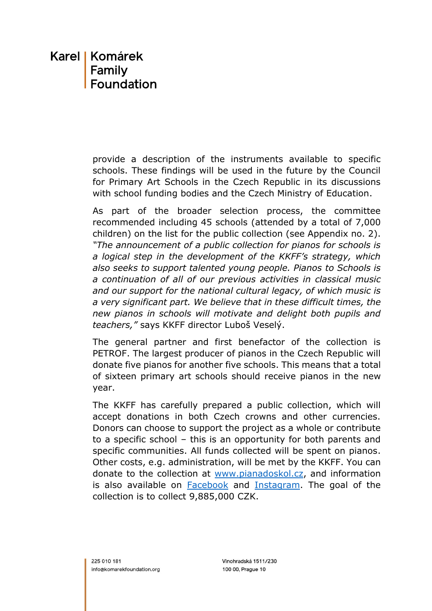# Karel | Komárek Family **Foundation**

provide a description of the instruments available to specific schools. These findings will be used in the future by the Council for Primary Art Schools in the Czech Republic in its discussions with school funding bodies and the Czech Ministry of Education.

As part of the broader selection process, the committee recommended including 45 schools (attended by a total of 7,000 children) on the list for the public collection (see Appendix no. 2). *"The announcement of a public collection for pianos for schools is a logical step in the development of the KKFF's strategy, which also seeks to support talented young people. Pianos to Schools is a continuation of all of our previous activities in classical music and our support for the national cultural legacy, of which music is a very significant part. We believe that in these difficult times, the new pianos in schools will motivate and delight both pupils and teachers,"* says KKFF director Luboš Veselý.

The general partner and first benefactor of the collection is PETROF. The largest producer of pianos in the Czech Republic will donate five pianos for another five schools. This means that a total of sixteen primary art schools should receive pianos in the new year.

The KKFF has carefully prepared a public collection, which will accept donations in both Czech crowns and other currencies. Donors can choose to support the project as a whole or contribute to a specific school – this is an opportunity for both parents and specific communities. All funds collected will be spent on pianos. Other costs, e.g. administration, will be met by the KKFF. You can donate to the collection at [www.pianadoskol.cz,](http://www.pianadoskol.cz/) and information is also available on [Facebook](https://www.facebook.com/pianadoskol) and [Instagram.](https://www.instagram.com/pianadoskol/) The goal of the collection is to collect 9,885,000 CZK.